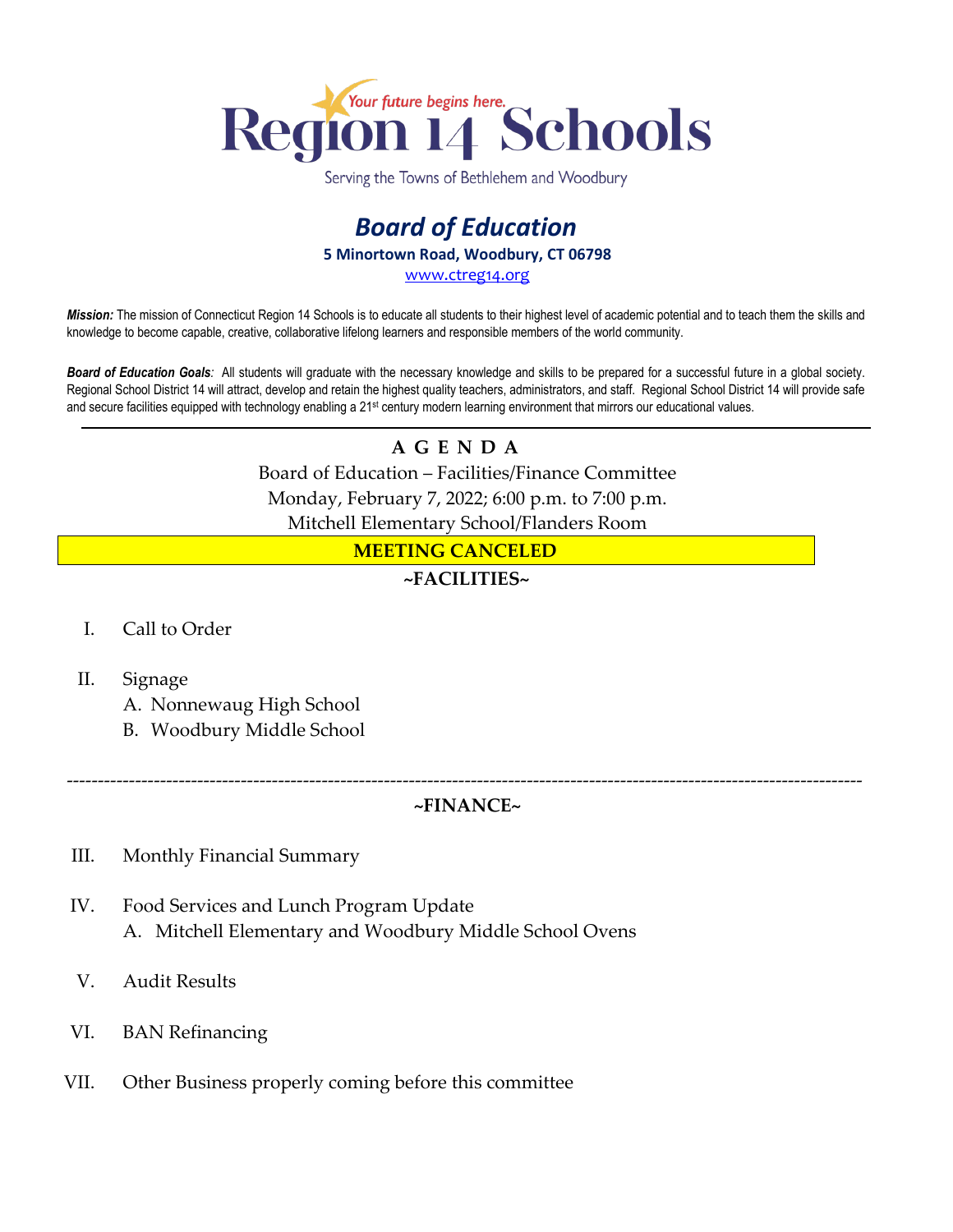

Serving the Towns of Bethlehem and Woodbury

### *Board of Education* **5 Minortown Road, Woodbury, CT 06798** [www.ctreg14.org](http://www.ctreg14.org/)

*Mission:* The mission of Connecticut Region 14 Schools is to educate all students to their highest level of academic potential and to teach them the skills and knowledge to become capable, creative, collaborative lifelong learners and responsible members of the world community.

*Board of Education Goals:* All students will graduate with the necessary knowledge and skills to be prepared for a successful future in a global society. Regional School District 14 will attract, develop and retain the highest quality teachers, administrators, and staff. Regional School District 14 will provide safe and secure facilities equipped with technology enabling a 21<sup>st</sup> century modern learning environment that mirrors our educational values.

# **A G E N D A**

Board of Education – Facilities/Finance Committee Monday, February 7, 2022; 6:00 p.m. to 7:00 p.m. Mitchell Elementary School/Flanders Room

#### **MEETING CANCELED**

#### **~FACILITIES~**

- I. Call to Order
- II. Signage

A. Nonnewaug High School

B. Woodbury Middle School

#### -------------------------------------------------------------------------------------------------------------------------------- **~FINANCE~**

- III. Monthly Financial Summary
- IV. Food Services and Lunch Program Update A. Mitchell Elementary and Woodbury Middle School Ovens
- V. Audit Results
- VI. BAN Refinancing
- VII. Other Business properly coming before this committee